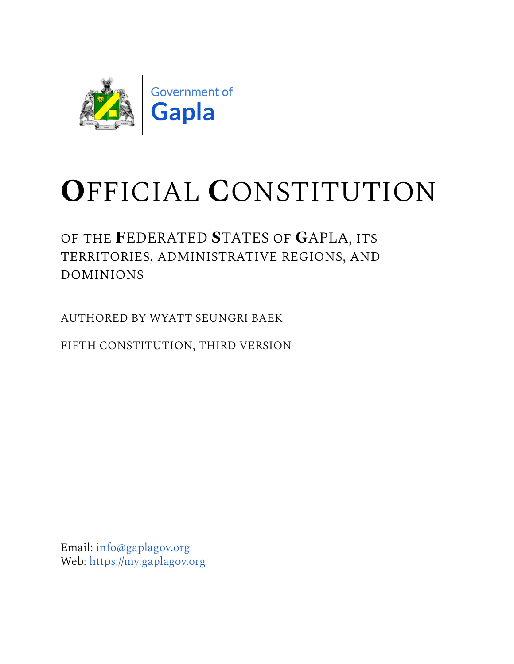

# **O**FFICIAL **C**ONSTITUTION

of the **F**EDERATED **S**TATES of **G**APLA, its territories, administrative regions, and dominions

AUTHORED BY WYATT SEUNGRI BAEK

FIFTH CONSTITUTION, THIRD VERSION

Email: [info@gaplagov.org](mailto:info@gaplagov.org) Web: [https://my.gaplagov.org](https://my.gaplagov.org/)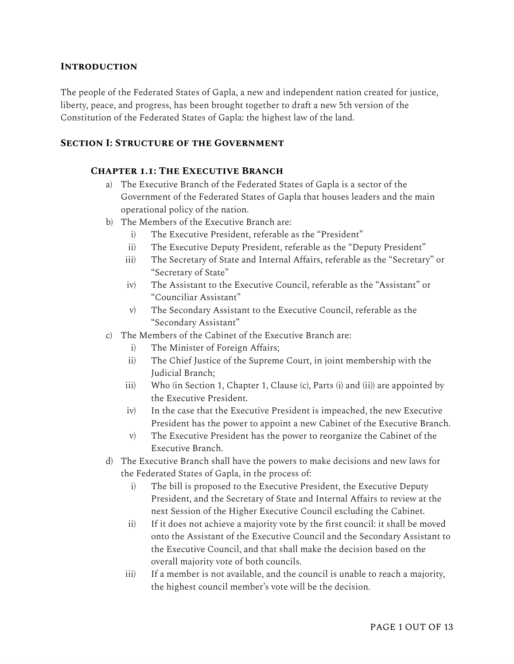## **Introduction**

The people of the Federated States of Gapla, a new and independent nation created for justice, liberty, peace, and progress, has been brought together to draft a new 5th version of the Constitution of the Federated States of Gapla: the highest law of the land.

#### **Section I: Structure of the Government**

#### **Chapter 1.1: The Executive Branch**

- a) The Executive Branch of the Federated States of Gapla is a sector of the Government of the Federated States of Gapla that houses leaders and the main operational policy of the nation.
- b) The Members of the Executive Branch are:
	- i) The Executive President, referable as the "President"
	- ii) The Executive Deputy President, referable as the "Deputy President"
	- iii) The Secretary of State and Internal Affairs, referable as the "Secretary" or "Secretary of State"
	- iv) The Assistant to the Executive Council, referable as the "Assistant" or "Counciliar Assistant"
	- v) The Secondary Assistant to the Executive Council, referable as the "Secondary Assistant"
- c) The Members of the Cabinet of the Executive Branch are:
	- i) The Minister of Foreign Affairs;
	- ii) The Chief Justice of the Supreme Court, in joint membership with the Judicial Branch;
	- iii) Who (in Section 1, Chapter 1, Clause (c), Parts (i) and (ii)) are appointed by the Executive President.
	- iv) In the case that the Executive President is impeached, the new Executive President has the power to appoint a new Cabinet of the Executive Branch.
	- v) The Executive President has the power to reorganize the Cabinet of the Executive Branch.
- d) The Executive Branch shall have the powers to make decisions and new laws for the Federated States of Gapla, in the process of:
	- i) The bill is proposed to the Executive President, the Executive Deputy President, and the Secretary of State and Internal Affairs to review at the next Session of the Higher Executive Council excluding the Cabinet.
	- ii) If it does not achieve a majority vote by the first council: it shall be moved onto the Assistant of the Executive Council and the Secondary Assistant to the Executive Council, and that shall make the decision based on the overall majority vote of both councils.
	- iii) If a member is not available, and the council is unable to reach a majority, the highest council member's vote will be the decision.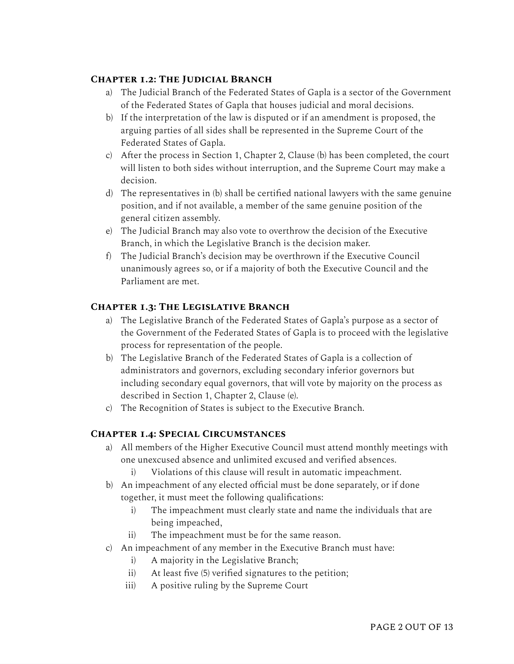## **Chapter 1.2: The Judicial Branch**

- a) The Judicial Branch of the Federated States of Gapla is a sector of the Government of the Federated States of Gapla that houses judicial and moral decisions.
- b) If the interpretation of the law is disputed or if an amendment is proposed, the arguing parties of all sides shall be represented in the Supreme Court of the Federated States of Gapla.
- c) After the process in Section 1, Chapter 2, Clause (b) has been completed, the court will listen to both sides without interruption, and the Supreme Court may make a decision.
- d) The representatives in (b) shall be certified national lawyers with the same genuine position, and if not available, a member of the same genuine position of the general citizen assembly.
- e) The Judicial Branch may also vote to overthrow the decision of the Executive Branch, in which the Legislative Branch is the decision maker.
- f) The Judicial Branch's decision may be overthrown if the Executive Council unanimously agrees so, or if a majority of both the Executive Council and the Parliament are met.

## **Chapter 1.3: The Legislative Branch**

- a) The Legislative Branch of the Federated States of Gapla's purpose as a sector of the Government of the Federated States of Gapla is to proceed with the legislative process for representation of the people.
- b) The Legislative Branch of the Federated States of Gapla is a collection of administrators and governors, excluding secondary inferior governors but including secondary equal governors, that will vote by majority on the process as described in Section 1, Chapter 2, Clause (e).
- c) The Recognition of States is subject to the Executive Branch.

## **Chapter 1.4: Special Circumstances**

- a) All members of the Higher Executive Council must attend monthly meetings with one unexcused absence and unlimited excused and verified absences.
	- i) Violations of this clause will result in automatic impeachment.
- b) An impeachment of any elected official must be done separately, or if done together, it must meet the following qualifications:
	- i) The impeachment must clearly state and name the individuals that are being impeached,
	- ii) The impeachment must be for the same reason.
- c) An impeachment of any member in the Executive Branch must have:
	- i) A majority in the Legislative Branch;
	- ii) At least five (5) verified signatures to the petition;
	- iii) A positive ruling by the Supreme Court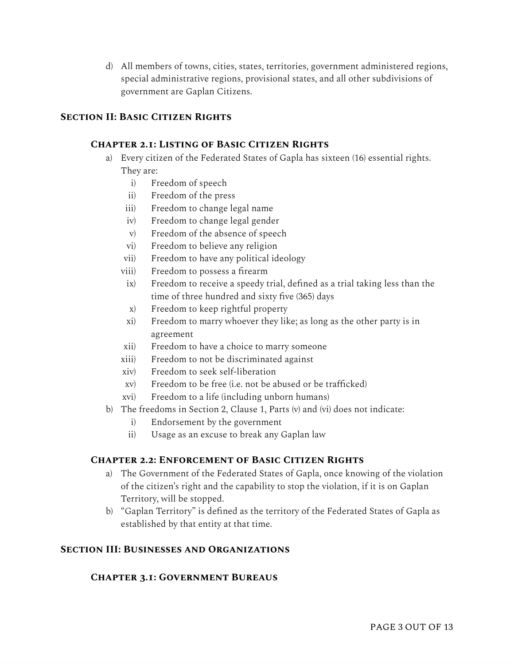d) All members of towns, cities, states, territories, government administered regions, special administrative regions, provisional states, and all other subdivisions of government are Gaplan Citizens.

## **Section II: Basic Citizen Rights**

#### **Chapter 2.1: Listing of Basic Citizen Rights**

- a) Every citizen of the Federated States of Gapla has sixteen (16) essential rights. They are:
	- i) Freedom of speech
	- ii) Freedom of the press
	- iii) Freedom to change legal name
	- iv) Freedom to change legal gender
	- v) Freedom of the absence of speech
	- vi) Freedom to believe any religion
	- vii) Freedom to have any political ideology
	- viii) Freedom to possess a firearm
	- ix) Freedom to receive a speedy trial, defined as a trial taking less than the time of three hundred and sixty five (365) days
	- x) Freedom to keep rightful property
	- xi) Freedom to marry whoever they like; as long as the other party is in agreement
	- xii) Freedom to have a choice to marry someone
	- xiii) Freedom to not be discriminated against
	- xiv) Freedom to seek self-liberation
	- xv) Freedom to be free (i.e. not be abused or be trafficked)
	- xvi) Freedom to a life (including unborn humans)
- b) The freedoms in Section 2, Clause 1, Parts (v) and (vi) does not indicate:
	- i) Endorsement by the government
	- ii) Usage as an excuse to break any Gaplan law

#### **Chapter 2.2: Enforcement of Basic Citizen Rights**

- a) The Government of the Federated States of Gapla, once knowing of the violation of the citizen's right and the capability to stop the violation, if it is on Gaplan Territory, will be stopped.
- b) "Gaplan Territory" is defined as the territory of the Federated States of Gapla as established by that entity at that time.

#### **Section III: Businesses and Organizations**

#### **Chapter 3.1: Government Bureaus**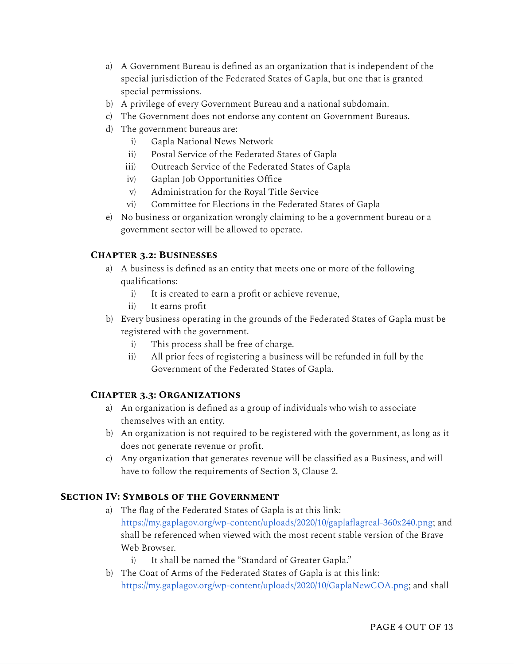- a) A Government Bureau is defined as an organization that is independent of the special jurisdiction of the Federated States of Gapla, but one that is granted special permissions.
- b) A privilege of every Government Bureau and a national subdomain.
- c) The Government does not endorse any content on Government Bureaus.
- d) The government bureaus are:
	- i) Gapla National News Network
	- ii) Postal Service of the Federated States of Gapla
	- iii) Outreach Service of the Federated States of Gapla
	- iv) Gaplan Job Opportunities Office
	- v) Administration for the Royal Title Service
	- vi) Committee for Elections in the Federated States of Gapla
- e) No business or organization wrongly claiming to be a government bureau or a government sector will be allowed to operate.

# **Chapter 3.2: Businesses**

- a) A business is defined as an entity that meets one or more of the following qualifications:
	- i) It is created to earn a profit or achieve revenue,
	- ii) It earns profit
- b) Every business operating in the grounds of the Federated States of Gapla must be registered with the government.
	- i) This process shall be free of charge.
	- ii) All prior fees of registering a business will be refunded in full by the Government of the Federated States of Gapla.

## **Chapter 3.3: Organizations**

- a) An organization is defined as a group of individuals who wish to associate themselves with an entity.
- b) An organization is not required to be registered with the government, as long as it does not generate revenue or profit.
- c) Any organization that generates revenue will be classified as a Business, and will have to follow the requirements of Section 3, Clause 2.

## **Section IV: Symbols of the Government**

- a) The flag of the Federated States of Gapla is at this link: [https://my.gaplagov.org/wp-content/uploads/2020/10/gaplaflagreal-360x240.png;](https://my.gaplagov.org/wp-content/uploads/2020/10/gaplaflagreal-360x240.png) and shall be referenced when viewed with the most recent stable version of the Brave Web Browser.
	- i) It shall be named the "Standard of Greater Gapla."
- b) The Coat of Arms of the Federated States of Gapla is at this link: [https://my.gaplagov.org/wp-content/uploads/2020/10/GaplaNewCOA.png;](https://my.gaplagov.org/wp-content/uploads/2020/10/GaplaNewCOA.png) and shall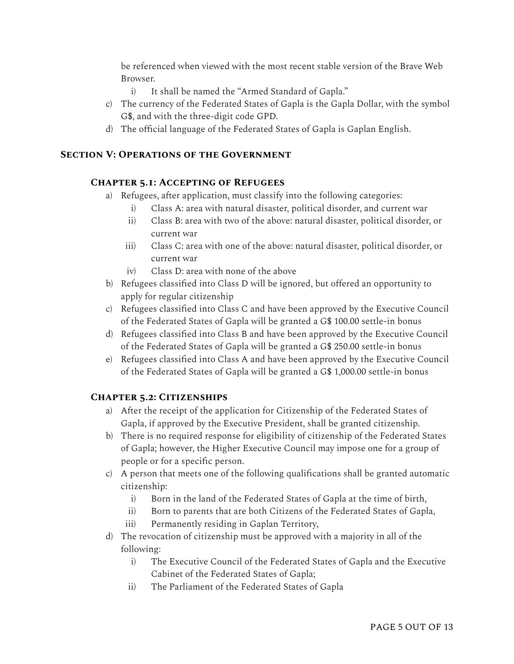be referenced when viewed with the most recent stable version of the Brave Web Browser.

- i) It shall be named the "Armed Standard of Gapla."
- c) The currency of the Federated States of Gapla is the Gapla Dollar, with the symbol G\$, and with the three-digit code GPD.
- d) The official language of the Federated States of Gapla is Gaplan English.

## **Section V: Operations of the Government**

## **Chapter 5.1: Accepting of Refugees**

- a) Refugees, after application, must classify into the following categories:
	- i) Class A: area with natural disaster, political disorder, and current war
	- ii) Class B: area with two of the above: natural disaster, political disorder, or current war
	- iii) Class C: area with one of the above: natural disaster, political disorder, or current war
	- iv) Class D: area with none of the above
- b) Refugees classified into Class D will be ignored, but offered an opportunity to apply for regular citizenship
- c) Refugees classified into Class C and have been approved by the Executive Council of the Federated States of Gapla will be granted a G\$ 100.00 settle-in bonus
- d) Refugees classified into Class B and have been approved by the Executive Council of the Federated States of Gapla will be granted a G\$ 250.00 settle-in bonus
- e) Refugees classified into Class A and have been approved by the Executive Council of the Federated States of Gapla will be granted a G\$ 1,000.00 settle-in bonus

## **Chapter 5.2: Citizenships**

- a) After the receipt of the application for Citizenship of the Federated States of Gapla, if approved by the Executive President, shall be granted citizenship.
- b) There is no required response for eligibility of citizenship of the Federated States of Gapla; however, the Higher Executive Council may impose one for a group of people or for a specific person.
- c) A person that meets one of the following qualifications shall be granted automatic citizenship:
	- i) Born in the land of the Federated States of Gapla at the time of birth,
	- ii) Born to parents that are both Citizens of the Federated States of Gapla,
	- iii) Permanently residing in Gaplan Territory,
- d) The revocation of citizenship must be approved with a majority in all of the following:
	- i) The Executive Council of the Federated States of Gapla and the Executive Cabinet of the Federated States of Gapla;
	- ii) The Parliament of the Federated States of Gapla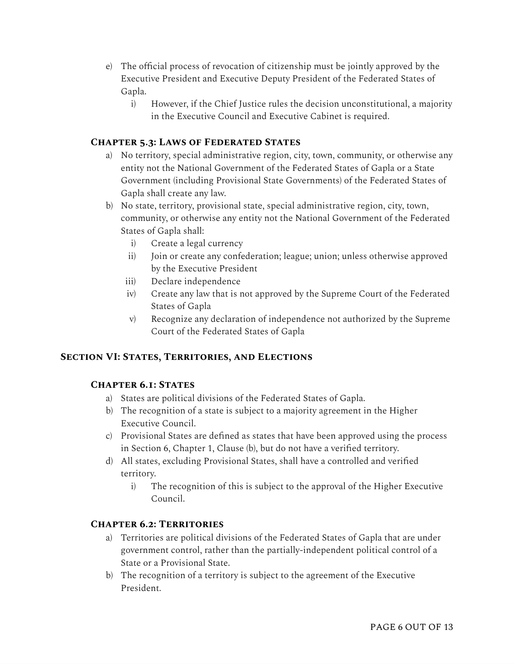- e) The official process of revocation of citizenship must be jointly approved by the Executive President and Executive Deputy President of the Federated States of Gapla.
	- i) However, if the Chief Justice rules the decision unconstitutional, a majority in the Executive Council and Executive Cabinet is required.

## **Chapter 5.3: Laws of Federated States**

- a) No territory, special administrative region, city, town, community, or otherwise any entity not the National Government of the Federated States of Gapla or a State Government (including Provisional State Governments) of the Federated States of Gapla shall create any law.
- b) No state, territory, provisional state, special administrative region, city, town, community, or otherwise any entity not the National Government of the Federated States of Gapla shall:
	- i) Create a legal currency
	- ii) Join or create any confederation; league; union; unless otherwise approved by the Executive President
	- iii) Declare independence
	- iv) Create any law that is not approved by the Supreme Court of the Federated States of Gapla
	- v) Recognize any declaration of independence not authorized by the Supreme Court of the Federated States of Gapla

## **Section VI: States, Territories, and Elections**

## **Chapter 6.1: States**

- a) States are political divisions of the Federated States of Gapla.
- b) The recognition of a state is subject to a majority agreement in the Higher Executive Council.
- c) Provisional States are defined as states that have been approved using the process in Section 6, Chapter 1, Clause (b), but do not have a verified territory.
- d) All states, excluding Provisional States, shall have a controlled and verified territory.
	- i) The recognition of this is subject to the approval of the Higher Executive Council.

## **Chapter 6.2: Territories**

- a) Territories are political divisions of the Federated States of Gapla that are under government control, rather than the partially-independent political control of a State or a Provisional State.
- b) The recognition of a territory is subject to the agreement of the Executive President.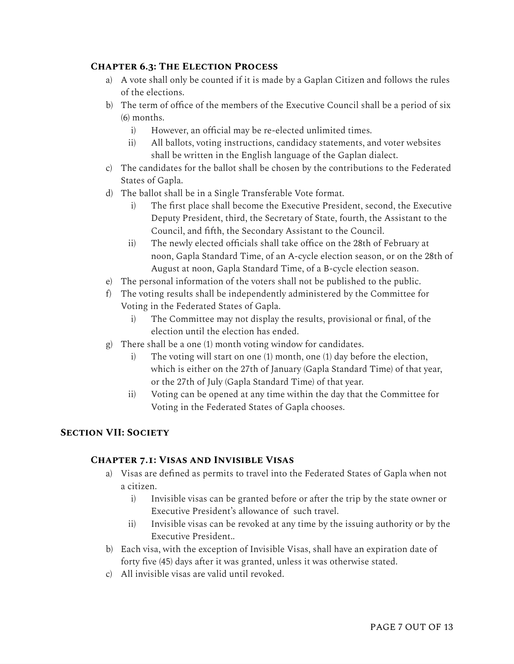## **Chapter 6.3: The Election Process**

- a) A vote shall only be counted if it is made by a Gaplan Citizen and follows the rules of the elections.
- b) The term of office of the members of the Executive Council shall be a period of six (6) months.
	- i) However, an official may be re-elected unlimited times.
	- ii) All ballots, voting instructions, candidacy statements, and voter websites shall be written in the English language of the Gaplan dialect.
- c) The candidates for the ballot shall be chosen by the contributions to the Federated States of Gapla.
- d) The ballot shall be in a Single Transferable Vote format.
	- i) The first place shall become the Executive President, second, the Executive Deputy President, third, the Secretary of State, fourth, the Assistant to the Council, and fifth, the Secondary Assistant to the Council.
	- ii) The newly elected officials shall take office on the 28th of February at noon, Gapla Standard Time, of an A-cycle election season, or on the 28th of August at noon, Gapla Standard Time, of a B-cycle election season.
- e) The personal information of the voters shall not be published to the public.
- f) The voting results shall be independently administered by the Committee for Voting in the Federated States of Gapla.
	- i) The Committee may not display the results, provisional or final, of the election until the election has ended.
- g) There shall be a one (1) month voting window for candidates.
	- i) The voting will start on one (1) month, one (1) day before the election, which is either on the 27th of January (Gapla Standard Time) of that year, or the 27th of July (Gapla Standard Time) of that year.
	- ii) Voting can be opened at any time within the day that the Committee for Voting in the Federated States of Gapla chooses.

## **Section VII: Society**

#### **Chapter 7.1: Visas and Invisible Visas**

- a) Visas are defined as permits to travel into the Federated States of Gapla when not a citizen.
	- i) Invisible visas can be granted before or after the trip by the state owner or Executive President's allowance of such travel.
	- ii) Invisible visas can be revoked at any time by the issuing authority or by the Executive President..
- b) Each visa, with the exception of Invisible Visas, shall have an expiration date of forty five (45) days after it was granted, unless it was otherwise stated.
- c) All invisible visas are valid until revoked.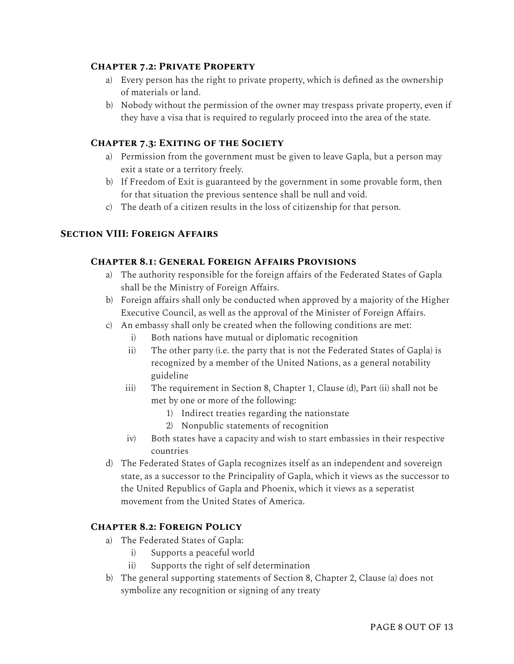#### **Chapter 7.2: Private Property**

- a) Every person has the right to private property, which is defined as the ownership of materials or land.
- b) Nobody without the permission of the owner may trespass private property, even if they have a visa that is required to regularly proceed into the area of the state.

#### **Chapter 7.3: Exiting of the Society**

- a) Permission from the government must be given to leave Gapla, but a person may exit a state or a territory freely.
- b) If Freedom of Exit is guaranteed by the government in some provable form, then for that situation the previous sentence shall be null and void.
- c) The death of a citizen results in the loss of citizenship for that person.

## **Section VIII: Foreign Affairs**

#### **Chapter 8.1: General Foreign Affairs Provisions**

- a) The authority responsible for the foreign affairs of the Federated States of Gapla shall be the Ministry of Foreign Affairs.
- b) Foreign affairs shall only be conducted when approved by a majority of the Higher Executive Council, as well as the approval of the Minister of Foreign Affairs.
- c) An embassy shall only be created when the following conditions are met:
	- i) Both nations have mutual or diplomatic recognition
	- ii) The other party (i.e. the party that is not the Federated States of Gapla) is recognized by a member of the United Nations, as a general notability guideline
	- iii) The requirement in Section 8, Chapter 1, Clause (d), Part (ii) shall not be met by one or more of the following:
		- 1) Indirect treaties regarding the nationstate
		- 2) Nonpublic statements of recognition
	- iv) Both states have a capacity and wish to start embassies in their respective countries
- d) The Federated States of Gapla recognizes itself as an independent and sovereign state, as a successor to the Principality of Gapla, which it views as the successor to the United Republics of Gapla and Phoenix, which it views as a seperatist movement from the United States of America.

#### **Chapter 8.2: Foreign Policy**

- a) The Federated States of Gapla:
	- i) Supports a peaceful world
	- ii) Supports the right of self determination
- b) The general supporting statements of Section 8, Chapter 2, Clause (a) does not symbolize any recognition or signing of any treaty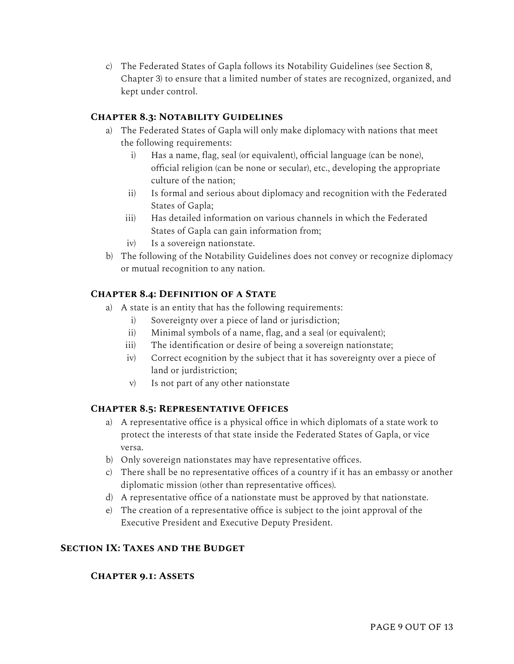c) The Federated States of Gapla follows its Notability Guidelines (see Section 8, Chapter 3) to ensure that a limited number of states are recognized, organized, and kept under control.

## **Chapter 8.3: Notability Guidelines**

- a) The Federated States of Gapla will only make diplomacy with nations that meet the following requirements:
	- i) Has a name, flag, seal (or equivalent), official language (can be none), official religion (can be none or secular), etc., developing the appropriate culture of the nation;
	- ii) Is formal and serious about diplomacy and recognition with the Federated States of Gapla;
	- iii) Has detailed information on various channels in which the Federated States of Gapla can gain information from;
	- iv) Is a sovereign nationstate.
- b) The following of the Notability Guidelines does not convey or recognize diplomacy or mutual recognition to any nation.

## **Chapter 8.4: Definition of a State**

- a) A state is an entity that has the following requirements:
	- i) Sovereignty over a piece of land or jurisdiction;
	- ii) Minimal symbols of a name, flag, and a seal (or equivalent);
	- iii) The identification or desire of being a sovereign nationstate;
	- iv) Correct ecognition by the subject that it has sovereignty over a piece of land or jurdistriction;
	- v) Is not part of any other nationstate

#### **Chapter 8.5: Representative Offices**

- a) A representative office is a physical office in which diplomats of a state work to protect the interests of that state inside the Federated States of Gapla, or vice versa.
- b) Only sovereign nationstates may have representative offices.
- c) There shall be no representative offices of a country if it has an embassy or another diplomatic mission (other than representative offices).
- d) A representative office of a nationstate must be approved by that nationstate.
- e) The creation of a representative office is subject to the joint approval of the Executive President and Executive Deputy President.

#### **Section IX: Taxes and the Budget**

#### **Chapter 9.1: Assets**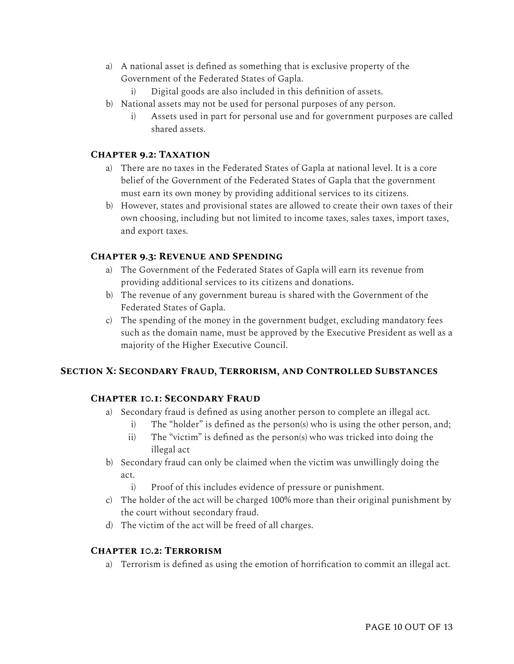- a) A national asset is defined as something that is exclusive property of the Government of the Federated States of Gapla.
	- i) Digital goods are also included in this definition of assets.
- b) National assets may not be used for personal purposes of any person.
	- i) Assets used in part for personal use and for government purposes are called shared assets.

## **Chapter 9.2: Taxation**

- a) There are no taxes in the Federated States of Gapla at national level. It is a core belief of the Government of the Federated States of Gapla that the government must earn its own money by providing additional services to its citizens.
- b) However, states and provisional states are allowed to create their own taxes of their own choosing, including but not limited to income taxes, sales taxes, import taxes, and export taxes.

## **Chapter 9.3: Revenue and Spending**

- a) The Government of the Federated States of Gapla will earn its revenue from providing additional services to its citizens and donations.
- b) The revenue of any government bureau is shared with the Government of the Federated States of Gapla.
- c) The spending of the money in the government budget, excluding mandatory fees such as the domain name, must be approved by the Executive President as well as a majority of the Higher Executive Council.

## **Section X: Secondary Fraud, Terrorism, and Controlled Substances**

## **Chapter 10.1: Secondary Fraud**

- a) Secondary fraud is defined as using another person to complete an illegal act.
	- i) The "holder" is defined as the person(s) who is using the other person, and;
	- ii) The "victim" is defined as the person(s) who was tricked into doing the illegal act
- b) Secondary fraud can only be claimed when the victim was unwillingly doing the act.
	- i) Proof of this includes evidence of pressure or punishment.
- c) The holder of the act will be charged 100% more than their original punishment by the court without secondary fraud.
- d) The victim of the act will be freed of all charges.

#### **Chapter 10.2: Terrorism**

a) Terrorism is defined as using the emotion of horrification to commit an illegal act.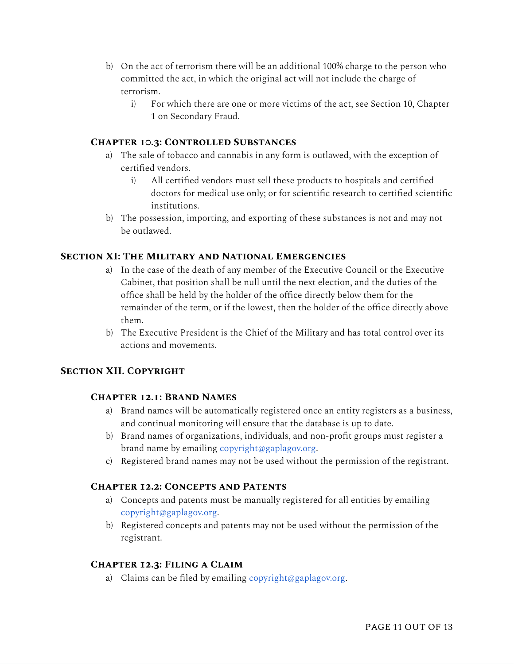- b) On the act of terrorism there will be an additional 100% charge to the person who committed the act, in which the original act will not include the charge of terrorism.
	- i) For which there are one or more victims of the act, see Section 10, Chapter 1 on Secondary Fraud.

## **Chapter 10.3: Controlled Substances**

- a) The sale of tobacco and cannabis in any form is outlawed, with the exception of certified vendors.
	- i) All certified vendors must sell these products to hospitals and certified doctors for medical use only; or for scientific research to certified scientific institutions.
- b) The possession, importing, and exporting of these substances is not and may not be outlawed.

#### **Section XI: The Military and National Emergencies**

- a) In the case of the death of any member of the Executive Council or the Executive Cabinet, that position shall be null until the next election, and the duties of the office shall be held by the holder of the office directly below them for the remainder of the term, or if the lowest, then the holder of the office directly above them.
- b) The Executive President is the Chief of the Military and has total control over its actions and movements.

## **Section XII. Copyright**

## **Chapter 12.1: Brand Names**

- a) Brand names will be automatically registered once an entity registers as a business, and continual monitoring will ensure that the database is up to date.
- b) Brand names of organizations, individuals, and non-profit groups must register a brand name by emailing [copyright@gaplagov.org](mailto:copyright@gaplagov.org).
- c) Registered brand names may not be used without the permission of the registrant.

#### **Chapter 12.2: Concepts and Patents**

- a) Concepts and patents must be manually registered for all entities by emailing [copyright@gaplagov.org.](mailto:copyright@gaplagov.org)
- b) Registered concepts and patents may not be used without the permission of the registrant.

#### **Chapter 12.3: Filing a Claim**

a) Claims can be filed by emailing [copyright@gaplagov.org.](mailto:copyright@gaplagov.org)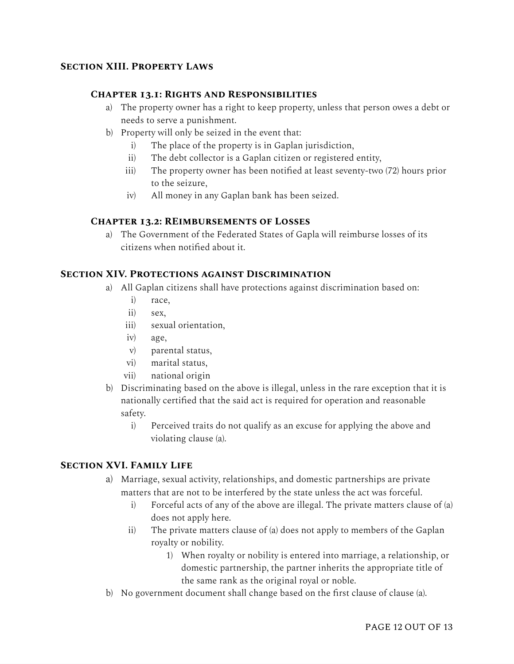## **Section XIII. Property Laws**

#### **Chapter 13.1: Rights and Responsibilities**

- a) The property owner has a right to keep property, unless that person owes a debt or needs to serve a punishment.
- b) Property will only be seized in the event that:
	- i) The place of the property is in Gaplan jurisdiction,
	- ii) The debt collector is a Gaplan citizen or registered entity,
	- iii) The property owner has been notified at least seventy-two (72) hours prior to the seizure,
	- iv) All money in any Gaplan bank has been seized.

#### **Chapter 13.2: REimbursements of Losses**

a) The Government of the Federated States of Gapla will reimburse losses of its citizens when notified about it.

# **Section XIV. Protections against Discrimination**

- a) All Gaplan citizens shall have protections against discrimination based on:
	- i) race,
	- ii) sex,
	- iii) sexual orientation,
	- iv) age,
	- v) parental status,
	- vi) marital status,
	- vii) national origin
- b) Discriminating based on the above is illegal, unless in the rare exception that it is nationally certified that the said act is required for operation and reasonable safety.
	- i) Perceived traits do not qualify as an excuse for applying the above and violating clause (a).

#### **Section XVI. Family Life**

- a) Marriage, sexual activity, relationships, and domestic partnerships are private matters that are not to be interfered by the state unless the act was forceful.
	- i) Forceful acts of any of the above are illegal. The private matters clause of (a) does not apply here.
	- ii) The private matters clause of (a) does not apply to members of the Gaplan royalty or nobility.
		- 1) When royalty or nobility is entered into marriage, a relationship, or domestic partnership, the partner inherits the appropriate title of the same rank as the original royal or noble.
- b) No government document shall change based on the first clause of clause (a).